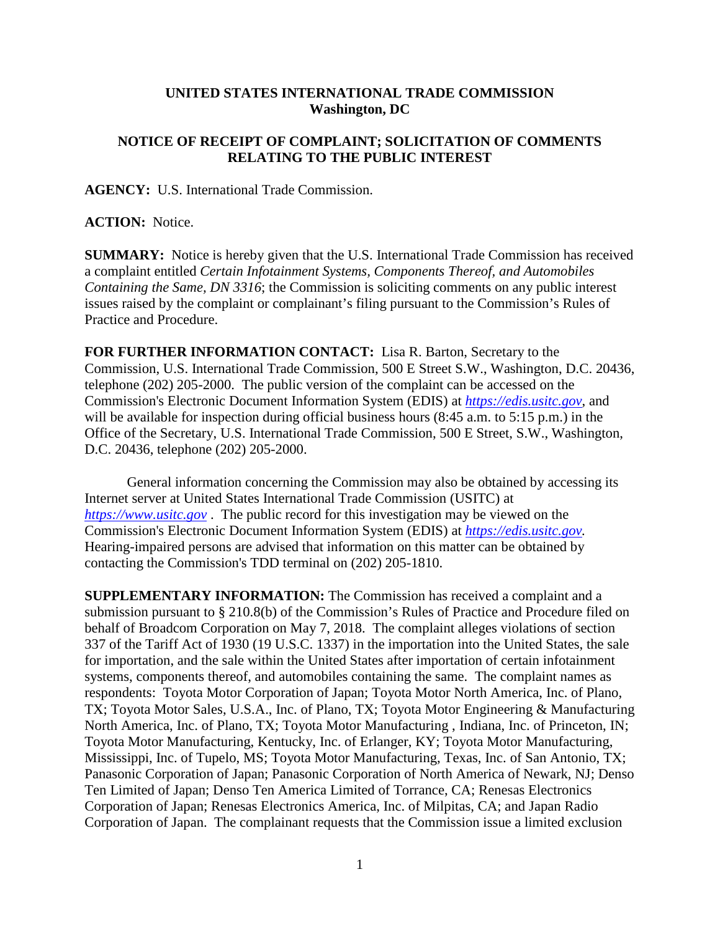## **UNITED STATES INTERNATIONAL TRADE COMMISSION Washington, DC**

## **NOTICE OF RECEIPT OF COMPLAINT; SOLICITATION OF COMMENTS RELATING TO THE PUBLIC INTEREST**

**AGENCY:** U.S. International Trade Commission.

**ACTION:** Notice.

**SUMMARY:** Notice is hereby given that the U.S. International Trade Commission has received a complaint entitled *Certain Infotainment Systems, Components Thereof, and Automobiles Containing the Same, DN 3316*; the Commission is soliciting comments on any public interest issues raised by the complaint or complainant's filing pursuant to the Commission's Rules of Practice and Procedure.

**FOR FURTHER INFORMATION CONTACT:** Lisa R. Barton, Secretary to the Commission, U.S. International Trade Commission, 500 E Street S.W., Washington, D.C. 20436, telephone (202) 205-2000. The public version of the complaint can be accessed on the Commission's Electronic Document Information System (EDIS) at *[https://edis.usitc.gov](https://edis.usitc.gov/)*, and will be available for inspection during official business hours (8:45 a.m. to 5:15 p.m.) in the Office of the Secretary, U.S. International Trade Commission, 500 E Street, S.W., Washington, D.C. 20436, telephone (202) 205-2000.

General information concerning the Commission may also be obtained by accessing its Internet server at United States International Trade Commission (USITC) at *[https://www.usitc.gov](https://www.usitc.gov/)* . The public record for this investigation may be viewed on the Commission's Electronic Document Information System (EDIS) at *[https://edis.usitc.gov.](https://edis.usitc.gov/)* Hearing-impaired persons are advised that information on this matter can be obtained by contacting the Commission's TDD terminal on (202) 205-1810.

**SUPPLEMENTARY INFORMATION:** The Commission has received a complaint and a submission pursuant to § 210.8(b) of the Commission's Rules of Practice and Procedure filed on behalf of Broadcom Corporation on May 7, 2018. The complaint alleges violations of section 337 of the Tariff Act of 1930 (19 U.S.C. 1337) in the importation into the United States, the sale for importation, and the sale within the United States after importation of certain infotainment systems, components thereof, and automobiles containing the same. The complaint names as respondents: Toyota Motor Corporation of Japan; Toyota Motor North America, Inc. of Plano, TX; Toyota Motor Sales, U.S.A., Inc. of Plano, TX; Toyota Motor Engineering & Manufacturing North America, Inc. of Plano, TX; Toyota Motor Manufacturing , Indiana, Inc. of Princeton, IN; Toyota Motor Manufacturing, Kentucky, Inc. of Erlanger, KY; Toyota Motor Manufacturing, Mississippi, Inc. of Tupelo, MS; Toyota Motor Manufacturing, Texas, Inc. of San Antonio, TX; Panasonic Corporation of Japan; Panasonic Corporation of North America of Newark, NJ; Denso Ten Limited of Japan; Denso Ten America Limited of Torrance, CA; Renesas Electronics Corporation of Japan; Renesas Electronics America, Inc. of Milpitas, CA; and Japan Radio Corporation of Japan. The complainant requests that the Commission issue a limited exclusion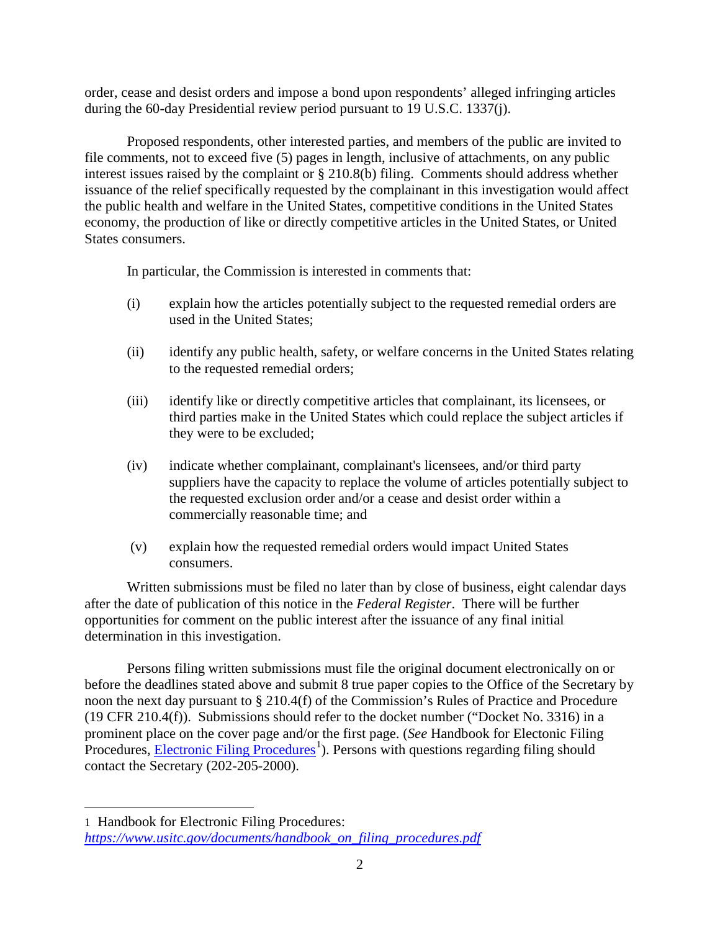order, cease and desist orders and impose a bond upon respondents' alleged infringing articles during the 60-day Presidential review period pursuant to 19 U.S.C. 1337(j).

Proposed respondents, other interested parties, and members of the public are invited to file comments, not to exceed five (5) pages in length, inclusive of attachments, on any public interest issues raised by the complaint or § 210.8(b) filing. Comments should address whether issuance of the relief specifically requested by the complainant in this investigation would affect the public health and welfare in the United States, competitive conditions in the United States economy, the production of like or directly competitive articles in the United States, or United States consumers.

In particular, the Commission is interested in comments that:

- (i) explain how the articles potentially subject to the requested remedial orders are used in the United States;
- (ii) identify any public health, safety, or welfare concerns in the United States relating to the requested remedial orders;
- (iii) identify like or directly competitive articles that complainant, its licensees, or third parties make in the United States which could replace the subject articles if they were to be excluded;
- (iv) indicate whether complainant, complainant's licensees, and/or third party suppliers have the capacity to replace the volume of articles potentially subject to the requested exclusion order and/or a cease and desist order within a commercially reasonable time; and
- (v) explain how the requested remedial orders would impact United States consumers.

Written submissions must be filed no later than by close of business, eight calendar days after the date of publication of this notice in the *Federal Register*. There will be further opportunities for comment on the public interest after the issuance of any final initial determination in this investigation.

Persons filing written submissions must file the original document electronically on or before the deadlines stated above and submit 8 true paper copies to the Office of the Secretary by noon the next day pursuant to § 210.4(f) of the Commission's Rules of Practice and Procedure (19 CFR 210.4(f)). Submissions should refer to the docket number ("Docket No. 3316) in a prominent place on the cover page and/or the first page. (*See* Handbook for Electonic Filing Procedures, **Electronic Filing Procedures**<sup>[1](#page-1-0)</sup>). Persons with questions regarding filing should contact the Secretary (202-205-2000).

 $\overline{a}$ 

<span id="page-1-0"></span><sup>1</sup> Handbook for Electronic Filing Procedures: *[https://www.usitc.gov/documents/handbook\\_on\\_filing\\_procedures.pdf](https://www.usitc.gov/documents/handbook_on_filing_procedures.pdf)*